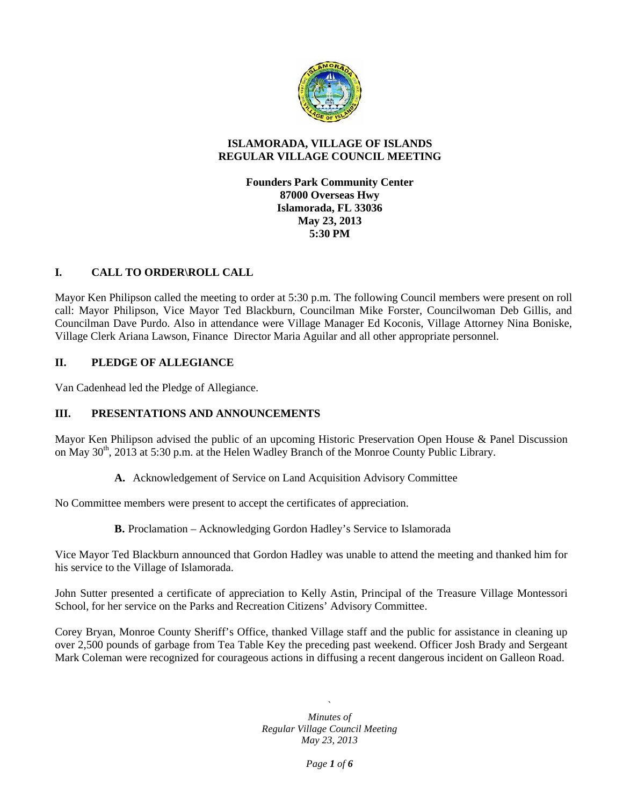

## **ISLAMORADA, VILLAGE OF ISLANDS REGULAR VILLAGE COUNCIL MEETING**

**Founders Park Community Center 87000 Overseas Hwy Islamorada, FL 33036 May 23, 2013 5:30 PM**

## **I. CALL TO ORDER\ROLL CALL**

Mayor Ken Philipson called the meeting to order at 5:30 p.m. The following Council members were present on roll call: Mayor Philipson, Vice Mayor Ted Blackburn, Councilman Mike Forster, Councilwoman Deb Gillis, and Councilman Dave Purdo. Also in attendance were Village Manager Ed Koconis, Village Attorney Nina Boniske, Village Clerk Ariana Lawson, Finance Director Maria Aguilar and all other appropriate personnel.

#### **II. PLEDGE OF ALLEGIANCE**

Van Cadenhead led the Pledge of Allegiance.

## **III. PRESENTATIONS AND ANNOUNCEMENTS**

Mayor Ken Philipson advised the public of an upcoming Historic Preservation Open House & Panel Discussion on May  $30<sup>th</sup>$ , 2013 at 5:30 p.m. at the Helen Wadley Branch of the Monroe County Public Library.

**A.** Acknowledgement of Service on Land Acquisition Advisory Committee

No Committee members were present to accept the certificates of appreciation.

**B.** Proclamation – Acknowledging Gordon Hadley's Service to Islamorada

Vice Mayor Ted Blackburn announced that Gordon Hadley was unable to attend the meeting and thanked him for his service to the Village of Islamorada.

John Sutter presented a certificate of appreciation to Kelly Astin, Principal of the Treasure Village Montessori School, for her service on the Parks and Recreation Citizens' Advisory Committee.

Corey Bryan, Monroe County Sheriff's Office, thanked Village staff and the public for assistance in cleaning up over 2,500 pounds of garbage from Tea Table Key the preceding past weekend. Officer Josh Brady and Sergeant Mark Coleman were recognized for courageous actions in diffusing a recent dangerous incident on Galleon Road.

> $\sum_{i=1}^n a_i$ *Minutes of Regular Village Council Meeting May 23, 2013*

> > *Page 1 of 6*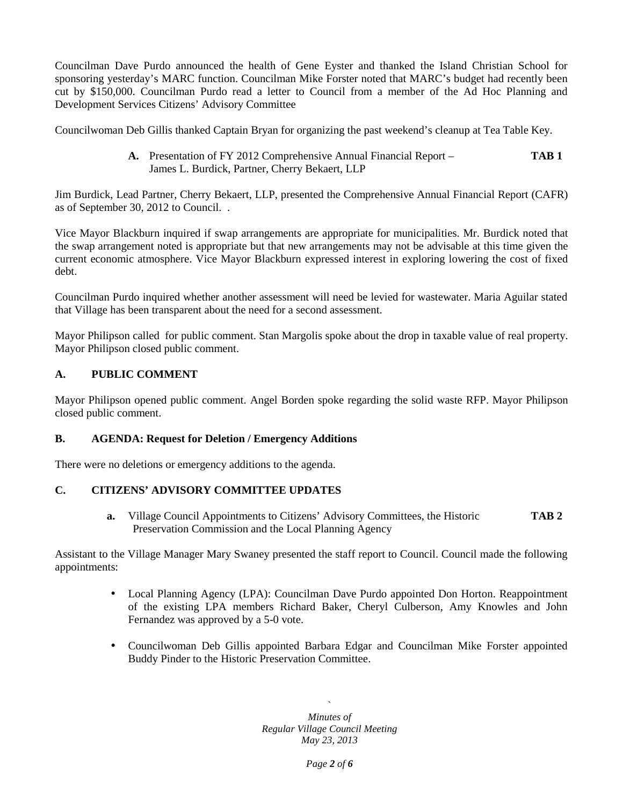Councilman Dave Purdo announced the health of Gene Eyster and thanked the Island Christian School for sponsoring yesterday's MARC function. Councilman Mike Forster noted that MARC's budget had recently been cut by \$150,000. Councilman Purdo read a letter to Council from a member of the Ad Hoc Planning and Development Services Citizens' Advisory Committee

Councilwoman Deb Gillis thanked Captain Bryan for organizing the past weekend's cleanup at Tea Table Key.

**A.** Presentation of FY 2012 Comprehensive Annual Financial Report – **TAB 1** James L. Burdick, Partner, Cherry Bekaert, LLP

Jim Burdick, Lead Partner, Cherry Bekaert, LLP, presented the Comprehensive Annual Financial Report (CAFR) as of September 30, 2012 to Council. .

Vice Mayor Blackburn inquired if swap arrangements are appropriate for municipalities. Mr. Burdick noted that the swap arrangement noted is appropriate but that new arrangements may not be advisable at this time given the current economic atmosphere. Vice Mayor Blackburn expressed interest in exploring lowering the cost of fixed debt.

Councilman Purdo inquired whether another assessment will need be levied for wastewater. Maria Aguilar stated that Village has been transparent about the need for a second assessment.

Mayor Philipson called for public comment. Stan Margolis spoke about the drop in taxable value of real property. Mayor Philipson closed public comment.

## **A. PUBLIC COMMENT**

Mayor Philipson opened public comment. Angel Borden spoke regarding the solid waste RFP. Mayor Philipson closed public comment.

#### **B. AGENDA: Request for Deletion / Emergency Additions**

There were no deletions or emergency additions to the agenda.

#### **C. CITIZENS' ADVISORY COMMITTEE UPDATES**

**a.** Village Council Appointments to Citizens' Advisory Committees, the Historic **TAB 2** Preservation Commission and the Local Planning Agency

Assistant to the Village Manager Mary Swaney presented the staff report to Council. Council made the following appointments:

- Local Planning Agency (LPA): Councilman Dave Purdo appointed Don Horton. Reappointment of the existing LPA members Richard Baker, Cheryl Culberson, Amy Knowles and John Fernandez was approved by a 5-0 vote.
- Councilwoman Deb Gillis appointed Barbara Edgar and Councilman Mike Forster appointed Buddy Pinder to the Historic Preservation Committee.

 $\sum_{i=1}^n a_i$ *Minutes of Regular Village Council Meeting May 23, 2013*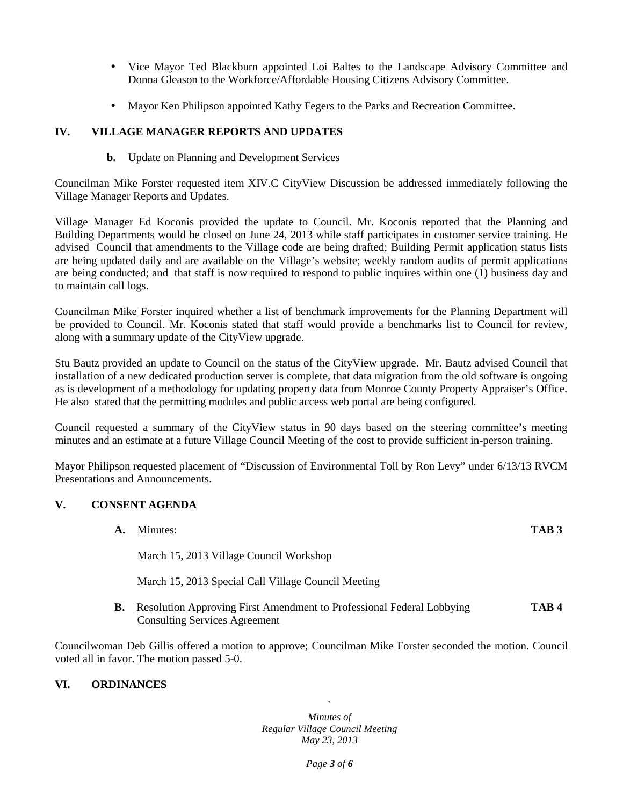- Vice Mayor Ted Blackburn appointed Loi Baltes to the Landscape Advisory Committee and Donna Gleason to the Workforce/Affordable Housing Citizens Advisory Committee.
- Mayor Ken Philipson appointed Kathy Fegers to the Parks and Recreation Committee.

# **IV. VILLAGE MANAGER REPORTS AND UPDATES**

#### **b.** Update on Planning and Development Services

Councilman Mike Forster requested item XIV.C CityView Discussion be addressed immediately following the Village Manager Reports and Updates.

Village Manager Ed Koconis provided the update to Council. Mr. Koconis reported that the Planning and Building Departments would be closed on June 24, 2013 while staff participates in customer service training. He advised Council that amendments to the Village code are being drafted; Building Permit application status lists are being updated daily and are available on the Village's website; weekly random audits of permit applications are being conducted; and that staff is now required to respond to public inquires within one (1) business day and to maintain call logs.

Councilman Mike Forster inquired whether a list of benchmark improvements for the Planning Department will be provided to Council. Mr. Koconis stated that staff would provide a benchmarks list to Council for review, along with a summary update of the CityView upgrade.

Stu Bautz provided an update to Council on the status of the CityView upgrade. Mr. Bautz advised Council that installation of a new dedicated production server is complete, that data migration from the old software is ongoing as is development of a methodology for updating property data from Monroe County Property Appraiser's Office. He also stated that the permitting modules and public access web portal are being configured.

Council requested a summary of the CityView status in 90 days based on the steering committee's meeting minutes and an estimate at a future Village Council Meeting of the cost to provide sufficient in-person training.

Mayor Philipson requested placement of "Discussion of Environmental Toll by Ron Levy" under 6/13/13 RVCM Presentations and Announcements.

#### **V. CONSENT AGENDA**

|    | Minutes:                                                                                                      | TAB <sub>3</sub> |
|----|---------------------------------------------------------------------------------------------------------------|------------------|
|    | March 15, 2013 Village Council Workshop                                                                       |                  |
|    | March 15, 2013 Special Call Village Council Meeting                                                           |                  |
| В. | Resolution Approving First Amendment to Professional Federal Lobbying<br><b>Consulting Services Agreement</b> | TAB <sub>4</sub> |

Councilwoman Deb Gillis offered a motion to approve; Councilman Mike Forster seconded the motion. Council voted all in favor. The motion passed 5-0.

## **VI. ORDINANCES**

 $\sum_{i=1}^n a_i$ *Minutes of Regular Village Council Meeting May 23, 2013*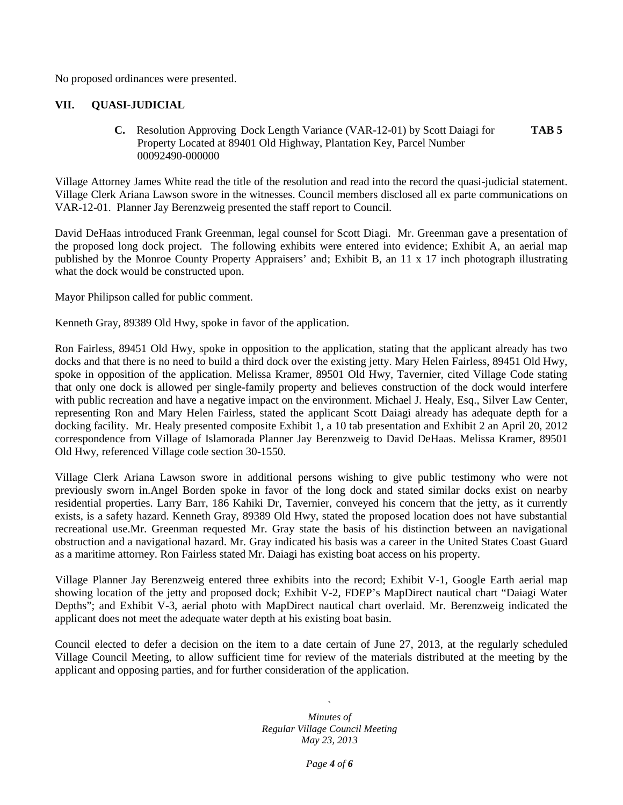No proposed ordinances were presented.

#### **VII. QUASI-JUDICIAL**

**C.** Resolution Approving Dock Length Variance (VAR-12-01) by Scott Daiagi for **TAB 5** Property Located at 89401 Old Highway, Plantation Key, Parcel Number 00092490-000000

Village Attorney James White read the title of the resolution and read into the record the quasi-judicial statement. Village Clerk Ariana Lawson swore in the witnesses. Council members disclosed all ex parte communications on VAR-12-01. Planner Jay Berenzweig presented the staff report to Council.

David DeHaas introduced Frank Greenman, legal counsel for Scott Diagi. Mr. Greenman gave a presentation of the proposed long dock project. The following exhibits were entered into evidence; Exhibit A, an aerial map published by the Monroe County Property Appraisers' and; Exhibit B, an 11 x 17 inch photograph illustrating what the dock would be constructed upon.

Mayor Philipson called for public comment.

Kenneth Gray, 89389 Old Hwy, spoke in favor of the application.

Ron Fairless, 89451 Old Hwy, spoke in opposition to the application, stating that the applicant already has two docks and that there is no need to build a third dock over the existing jetty. Mary Helen Fairless, 89451 Old Hwy, spoke in opposition of the application. Melissa Kramer, 89501 Old Hwy, Tavernier, cited Village Code stating that only one dock is allowed per single-family property and believes construction of the dock would interfere with public recreation and have a negative impact on the environment. Michael J. Healy, Esq., Silver Law Center, representing Ron and Mary Helen Fairless, stated the applicant Scott Daiagi already has adequate depth for a docking facility. Mr. Healy presented composite Exhibit 1, a 10 tab presentation and Exhibit 2 an April 20, 2012 correspondence from Village of Islamorada Planner Jay Berenzweig to David DeHaas. Melissa Kramer, 89501 Old Hwy, referenced Village code section 30-1550.

Village Clerk Ariana Lawson swore in additional persons wishing to give public testimony who were not previously sworn in.Angel Borden spoke in favor of the long dock and stated similar docks exist on nearby residential properties. Larry Barr, 186 Kahiki Dr, Tavernier, conveyed his concern that the jetty, as it currently exists, is a safety hazard. Kenneth Gray, 89389 Old Hwy, stated the proposed location does not have substantial recreational use.Mr. Greenman requested Mr. Gray state the basis of his distinction between an navigational obstruction and a navigational hazard. Mr. Gray indicated his basis was a career in the United States Coast Guard as a maritime attorney. Ron Fairless stated Mr. Daiagi has existing boat access on his property.

Village Planner Jay Berenzweig entered three exhibits into the record; Exhibit V-1, Google Earth aerial map showing location of the jetty and proposed dock; Exhibit V-2, FDEP's MapDirect nautical chart "Daiagi Water Depths"; and Exhibit V-3, aerial photo with MapDirect nautical chart overlaid. Mr. Berenzweig indicated the applicant does not meet the adequate water depth at his existing boat basin.

Council elected to defer a decision on the item to a date certain of June 27, 2013, at the regularly scheduled Village Council Meeting, to allow sufficient time for review of the materials distributed at the meeting by the applicant and opposing parties, and for further consideration of the application.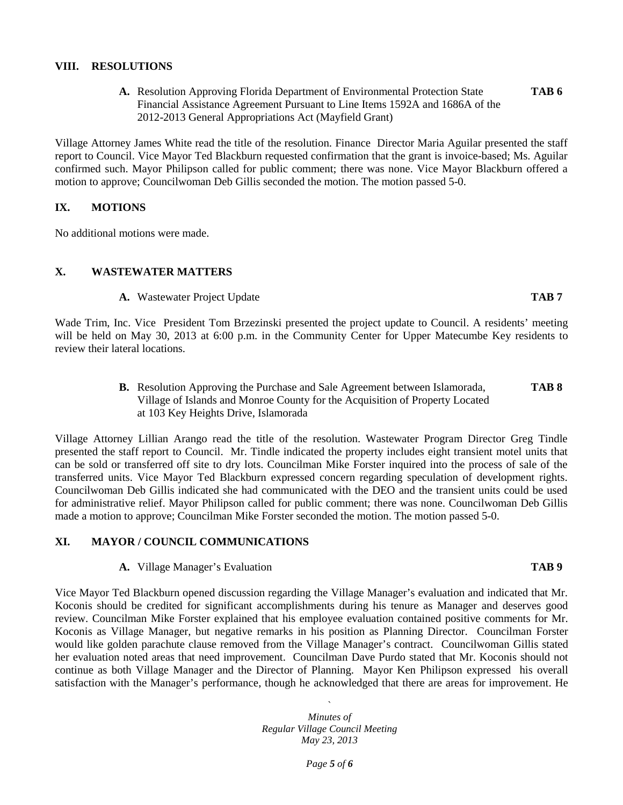### **VIII. RESOLUTIONS**

**A.** Resolution Approving Florida Department of Environmental Protection State **TAB 6** Financial Assistance Agreement Pursuant to Line Items 1592A and 1686A of the 2012-2013 General Appropriations Act (Mayfield Grant)

Village Attorney James White read the title of the resolution. Finance Director Maria Aguilar presented the staff report to Council. Vice Mayor Ted Blackburn requested confirmation that the grant is invoice-based; Ms. Aguilar confirmed such. Mayor Philipson called for public comment; there was none. Vice Mayor Blackburn offered a motion to approve; Councilwoman Deb Gillis seconded the motion. The motion passed 5-0.

#### **IX. MOTIONS**

No additional motions were made.

#### **X. WASTEWATER MATTERS**

**A.** Wastewater Project Update **TAB 7**

Wade Trim, Inc. Vice President Tom Brzezinski presented the project update to Council. A residents' meeting will be held on May 30, 2013 at 6:00 p.m. in the Community Center for Upper Matecumbe Key residents to review their lateral locations.

> **B.** Resolution Approving the Purchase and Sale Agreement between Islamorada, **TAB 8** Village of Islands and Monroe County for the Acquisition of Property Located at 103 Key Heights Drive, Islamorada

Village Attorney Lillian Arango read the title of the resolution. Wastewater Program Director Greg Tindle presented the staff report to Council. Mr. Tindle indicated the property includes eight transient motel units that can be sold or transferred off site to dry lots. Councilman Mike Forster inquired into the process of sale of the transferred units. Vice Mayor Ted Blackburn expressed concern regarding speculation of development rights. Councilwoman Deb Gillis indicated she had communicated with the DEO and the transient units could be used for administrative relief. Mayor Philipson called for public comment; there was none. Councilwoman Deb Gillis made a motion to approve; Councilman Mike Forster seconded the motion. The motion passed 5-0.

#### **XI. MAYOR / COUNCIL COMMUNICATIONS**

#### **A.** Village Manager's Evaluation **TAB 9**

Vice Mayor Ted Blackburn opened discussion regarding the Village Manager's evaluation and indicated that Mr. Koconis should be credited for significant accomplishments during his tenure as Manager and deserves good review. Councilman Mike Forster explained that his employee evaluation contained positive comments for Mr. Koconis as Village Manager, but negative remarks in his position as Planning Director. Councilman Forster would like golden parachute clause removed from the Village Manager's contract. Councilwoman Gillis stated her evaluation noted areas that need improvement. Councilman Dave Purdo stated that Mr. Koconis should not continue as both Village Manager and the Director of Planning. Mayor Ken Philipson expressed his overall satisfaction with the Manager's performance, though he acknowledged that there are areas for improvement. He

> $\sum_{i=1}^n a_i$ *Minutes of Regular Village Council Meeting May 23, 2013*